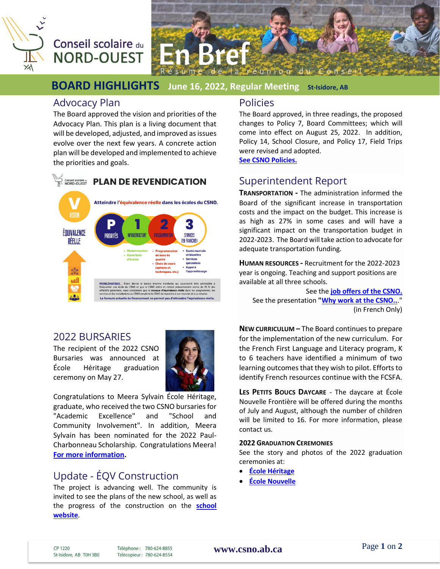

# Conseil scolaire du **NORD-OUEST**



## **BOARD HIGHLIGHTS June 16, 2022, Regular Meeting St-Isidore, AB**

## Advocacy Plan

The Board approved the vision and priorities of the Advocacy Plan. This plan is a living document that will be developed, adjusted, and improved as issues evolve over the next few years. A concrete action plan will be developed and implemented to achieve the priorities and goals.



## 2022 BURSARIES

The recipient of the 2022 CSNO Bursaries was announced at École Héritage graduation ceremony on May 27.



Congratulations to Meera Sylvain École Héritage, graduate, who received the two CSNO bursariesfor "Academic Excellence" and "School and Community Involvement". In addition, Meera Sylvain has been nominated for the 2022 Paul-Charbonneau Scholarship. Congratulations Meera! **For more information.**

## Update - ÉQV Construction

The project is advancing well. The community is invited to see the plans of the new school, as well as the progress of the construction on the **school website**.

### Policies

The Board approved, in three readings, the proposed changes to Policy 7, Board Committees; which will come into effect on August 25, 2022. In addition, Policy 14, School Closure, and Policy 17, Field Trips were revised and adopted.

**See CSNO Policies.**

## Superintendent Report

**TRANSPORTATION -** The administration informed the Board of the significant increase in transportation costs and the impact on the budget. This increase is as high as 27% in some cases and will have a significant impact on the transportation budget in 2022-2023. The Board will take action to advocate for adequate transportation funding.

**HUMAN RESOURCES -** Recruitment for the 2022-2023 year is ongoing. Teaching and support positions are available at all three schools.

See the **job offers of the CSNO.** See the presentation **"Why work at the CSNO..**." (in French Only)

**NEW CURRICULUM –** The Board continues to prepare for the implementation of the new curriculum. For the French First Language and Literacy program, K to 6 teachers have identified a minimum of two learning outcomes that they wish to pilot. Efforts to identify French resources continue with the FCSFA.

**LES PETITS BOUCS DAYCARE** - The daycare at École Nouvelle Frontière will be offered during the months of July and August, although the number of children will be limited to 16. For more information, please contact us.

#### **2022 GRADUATION CEREMONIES**

See the story and photos of the 2022 graduation ceremonies at:

- **École Héritage**
- **École Nouvelle**

CP 1220 St-Isidore, AB T0H 3B0 Téléphone: 780-624-8855 Télécopieur: 780-624-8554 **[www.csno.ab.ca](file://///CSNOServer/Usager/racber/Desktop/CSNO%20-%20Rachelle/En%20Bref/2010-2011/www.csno.ab.ca)**